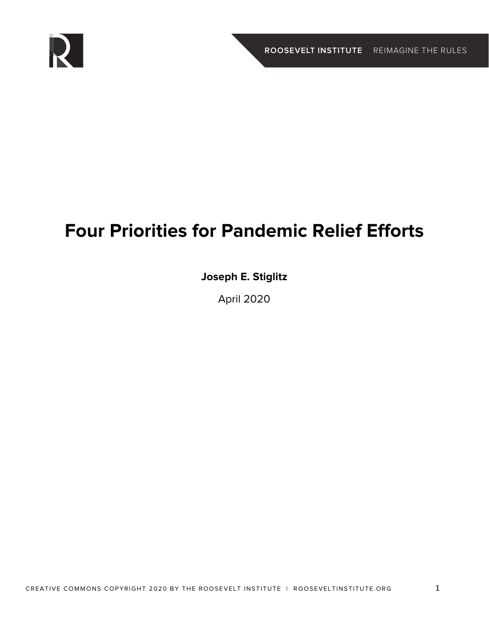

# **Four Priorities for Pandemic Relief Efforts**

### **Joseph E. Stiglitz**

April 2020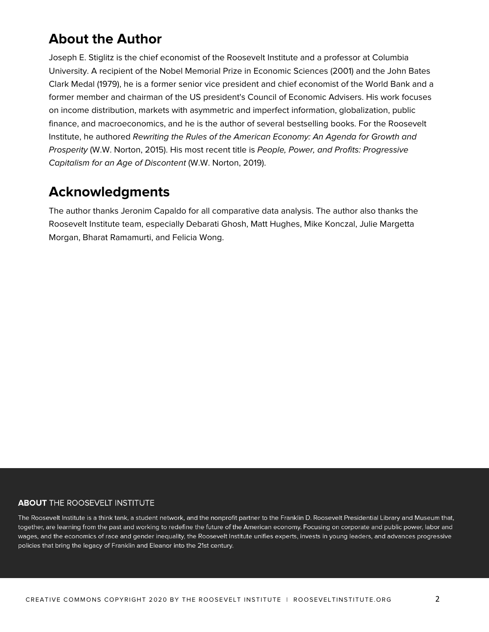# **About the Author**

Joseph E. Stiglitz is the chief economist of the Roosevelt Institute and a professor at Columbia University. A recipient of the Nobel Memorial Prize in Economic Sciences (2001) and the John Bates Clark Medal (1979), he is a former senior vice president and chief economist of the World Bank and a former member and chairman of the US president's Council of Economic Advisers. His work focuses on income distribution, markets with asymmetric and imperfect information, globalization, public finance, and macroeconomics, and he is the author of several bestselling books. For the Roosevelt Institute, he authored *Rewriting the Rules of the American Economy: An Agenda for Growth and Prosperity* (W.W. Norton, 2015). His most recent title is *People, Power, and Profits: Progressive Capitalism for an Age of Discontent* (W.W. Norton, 2019).

## **Acknowledgments**

The author thanks Jeronim Capaldo for all comparative data analysis. The author also thanks the Roosevelt Institute team, especially Debarati Ghosh, Matt Hughes, Mike Konczal, Julie Margetta Morgan, Bharat Ramamurti, and Felicia Wong.

#### **ABOUT THE ROOSEVELT INSTITUTE**

The Roosevelt Institute is a think tank, a student network, and the nonprofit partner to the Franklin D. Roosevelt Presidential Library and Museum that, together, are learning from the past and working to redefine the future of the American economy. Focusing on corporate and public power, labor and wages, and the economics of race and gender inequality, the Roosevelt Institute unifies experts, invests in young leaders, and advances progressive policies that bring the legacy of Franklin and Eleanor into the 21st century.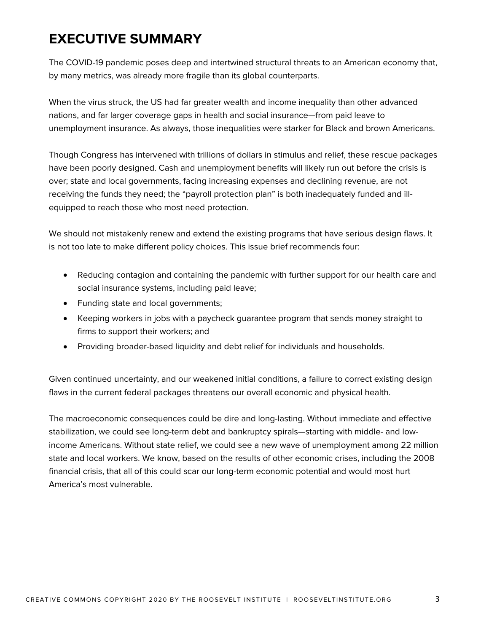# **EXECUTIVE SUMMARY**

The COVID-19 pandemic poses deep and intertwined structural threats to an American economy that, by many metrics, was already more fragile than its global counterparts.

When the virus struck, the US had far greater wealth and income inequality than other advanced nations, and far larger coverage gaps in health and social insurance—from paid leave to unemployment insurance. As always, those inequalities were starker for Black and brown Americans.

Though Congress has intervened with trillions of dollars in stimulus and relief, these rescue packages have been poorly designed. Cash and unemployment benefits will likely run out before the crisis is over; state and local governments, facing increasing expenses and declining revenue, are not receiving the funds they need; the "payroll protection plan" is both inadequately funded and illequipped to reach those who most need protection.

We should not mistakenly renew and extend the existing programs that have serious design flaws. It is not too late to make different policy choices. This issue brief recommends four:

- Reducing contagion and containing the pandemic with further support for our health care and social insurance systems, including paid leave;
- Funding state and local governments;
- Keeping workers in jobs with a paycheck guarantee program that sends money straight to firms to support their workers; and
- Providing broader-based liquidity and debt relief for individuals and households.

Given continued uncertainty, and our weakened initial conditions, a failure to correct existing design flaws in the current federal packages threatens our overall economic and physical health.

The macroeconomic consequences could be dire and long-lasting. Without immediate and effective stabilization, we could see long-term debt and bankruptcy spirals—starting with middle- and lowincome Americans. Without state relief, we could see a new wave of unemployment among 22 million state and local workers. We know, based on the results of other economic crises, including the 2008 financial crisis, that all of this could scar our long-term economic potential and would most hurt America's most vulnerable.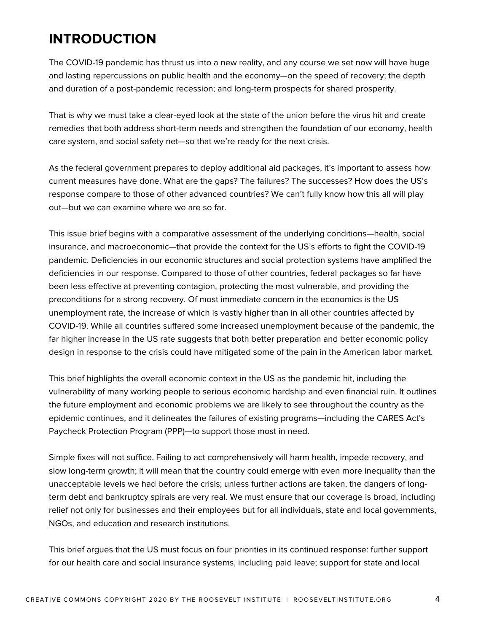# **INTRODUCTION**

The COVID-19 pandemic has thrust us into a new reality, and any course we set now will have huge and lasting repercussions on public health and the economy—on the speed of recovery; the depth and duration of a post-pandemic recession; and long-term prospects for shared prosperity.

That is why we must take a clear-eyed look at the state of the union before the virus hit and create remedies that both address short-term needs and strengthen the foundation of our economy, health care system, and social safety net—so that we're ready for the next crisis.

As the federal government prepares to deploy additional aid packages, it's important to assess how current measures have done. What are the gaps? The failures? The successes? How does the US's response compare to those of other advanced countries? We can't fully know how this all will play out—but we can examine where we are so far.

This issue brief begins with a comparative assessment of the underlying conditions—health, social insurance, and macroeconomic—that provide the context for the US's efforts to fight the COVID-19 pandemic. Deficiencies in our economic structures and social protection systems have amplified the deficiencies in our response. Compared to those of other countries, federal packages so far have been less effective at preventing contagion, protecting the most vulnerable, and providing the preconditions for a strong recovery. Of most immediate concern in the economics is the US unemployment rate, the increase of which is vastly higher than in all other countries affected by COVID-19. While all countries suffered some increased unemployment because of the pandemic, the far higher increase in the US rate suggests that both better preparation and better economic policy design in response to the crisis could have mitigated some of the pain in the American labor market.

This brief highlights the overall economic context in the US as the pandemic hit, including the vulnerability of many working people to serious economic hardship and even financial ruin. It outlines the future employment and economic problems we are likely to see throughout the country as the epidemic continues, and it delineates the failures of existing programs—including the CARES Act's Paycheck Protection Program (PPP)—to support those most in need.

Simple fixes will not suffice. Failing to act comprehensively will harm health, impede recovery, and slow long-term growth; it will mean that the country could emerge with even more inequality than the unacceptable levels we had before the crisis; unless further actions are taken, the dangers of longterm debt and bankruptcy spirals are very real. We must ensure that our coverage is broad, including relief not only for businesses and their employees but for all individuals, state and local governments, NGOs, and education and research institutions.

This brief argues that the US must focus on four priorities in its continued response: further support for our health care and social insurance systems, including paid leave; support for state and local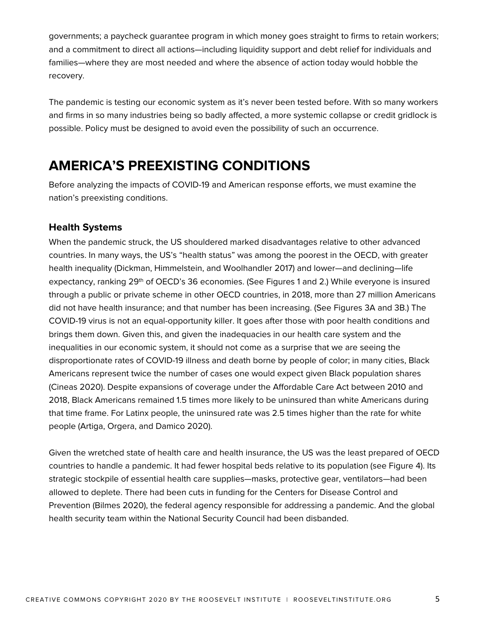governments; a paycheck guarantee program in which money goes straight to firms to retain workers; and a commitment to direct all actions—including liquidity support and debt relief for individuals and families—where they are most needed and where the absence of action today would hobble the recovery.

The pandemic is testing our economic system as it's never been tested before. With so many workers and firms in so many industries being so badly affected, a more systemic collapse or credit gridlock is possible. Policy must be designed to avoid even the possibility of such an occurrence.

## **AMERICA'S PREEXISTING CONDITIONS**

Before analyzing the impacts of COVID-19 and American response efforts, we must examine the nation's preexisting conditions.

#### **Health Systems**

When the pandemic struck, the US shouldered marked disadvantages relative to other advanced countries. In many ways, the US's "health status" was among the poorest in the OECD, with greater health inequality (Dickman, Himmelstein, and Woolhandler 2017) and lower—and declining—life expectancy, ranking 29<sup>th</sup> of OECD's 36 economies. (See Figures 1 and 2.) While everyone is insured through a public or private scheme in other OECD countries, in 2018, more than 27 million Americans did not have health insurance; and that number has been increasing. (See Figures 3A and 3B.) The COVID-19 virus is not an equal-opportunity killer. It goes after those with poor health conditions and brings them down. Given this, and given the inadequacies in our health care system and the inequalities in our economic system, it should not come as a surprise that we are seeing the disproportionate rates of COVID-19 illness and death borne by people of color; in many cities, Black Americans represent twice the number of cases one would expect given Black population shares (Cineas 2020). Despite expansions of coverage under the Affordable Care Act between 2010 and 2018, Black Americans remained 1.5 times more likely to be uninsured than white Americans during that time frame. For Latinx people, the uninsured rate was 2.5 times higher than the rate for white people (Artiga, Orgera, and Damico 2020).

Given the wretched state of health care and health insurance, the US was the least prepared of OECD countries to handle a pandemic. It had fewer hospital beds relative to its population (see Figure 4). Its strategic stockpile of essential health care supplies—masks, protective gear, ventilators—had been allowed to deplete. There had been cuts in funding for the Centers for Disease Control and Prevention (Bilmes 2020), the federal agency responsible for addressing a pandemic. And the global health security team within the National Security Council had been disbanded.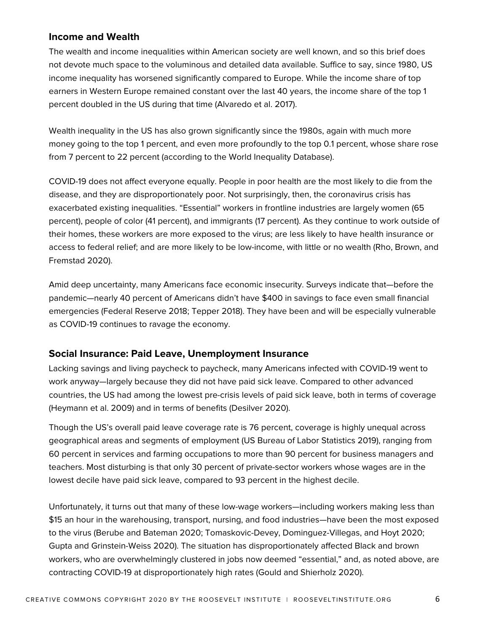#### **Income and Wealth**

The wealth and income inequalities within American society are well known, and so this brief does not devote much space to the voluminous and detailed data available. Suffice to say, since 1980, US income inequality has worsened significantly compared to Europe. While the income share of top earners in Western Europe remained constant over the last 40 years, the income share of the top 1 percent doubled in the US during that time (Alvaredo et al. 2017).

Wealth inequality in the US has also grown significantly since the 1980s, again with much more money going to the top 1 percent, and even more profoundly to the top 0.1 percent, whose share rose from 7 percent to 22 percent (according to the World Inequality Database).

COVID-19 does not affect everyone equally. People in poor health are the most likely to die from the disease, and they are disproportionately poor. Not surprisingly, then, the coronavirus crisis has exacerbated existing inequalities. "Essential" workers in frontline industries are largely women (65 percent), people of color (41 percent), and immigrants (17 percent). As they continue to work outside of their homes, these workers are more exposed to the virus; are less likely to have health insurance or access to federal relief; and are more likely to be low-income, with little or no wealth (Rho, Brown, and Fremstad 2020).

Amid deep uncertainty, many Americans face economic insecurity. Surveys indicate that—before the pandemic—nearly 40 percent of Americans didn't have \$400 in savings to face even small financial emergencies (Federal Reserve 2018; Tepper 2018). They have been and will be especially vulnerable as COVID-19 continues to ravage the economy.

#### **Social Insurance: Paid Leave, Unemployment Insurance**

Lacking savings and living paycheck to paycheck, many Americans infected with COVID-19 went to work anyway—largely because they did not have paid sick leave. Compared to other advanced countries, the US had among the lowest pre-crisis levels of paid sick leave, both in terms of coverage (Heymann et al. 2009) and in terms of benefits (Desilver 2020).

Though the US's overall paid leave coverage rate is 76 percent, coverage is highly unequal across geographical areas and segments of employment (US Bureau of Labor Statistics 2019), ranging from 60 percent in services and farming occupations to more than 90 percent for business managers and teachers. Most disturbing is that only 30 percent of private-sector workers whose wages are in the lowest decile have paid sick leave, compared to 93 percent in the highest decile.

Unfortunately, it turns out that many of these low-wage workers—including workers making less than \$15 an hour in the warehousing, transport, nursing, and food industries—have been the most exposed to the virus (Berube and Bateman 2020; Tomaskovic-Devey, Dominguez-Villegas, and Hoyt 2020; Gupta and Grinstein-Weiss 2020). The situation has disproportionately affected Black and brown workers, who are overwhelmingly clustered in jobs now deemed "essential," and, as noted above, are contracting COVID-19 at disproportionately high rates (Gould and Shierholz 2020).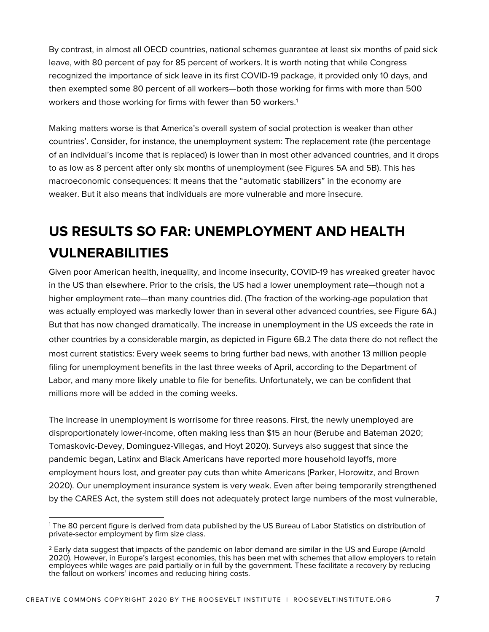By contrast, in almost all OECD countries, national schemes guarantee at least six months of paid sick leave, with 80 percent of pay for 85 percent of workers. It is worth noting that while Congress recognized the importance of sick leave in its first COVID-19 package, it provided only 10 days, and then exempted some 80 percent of all workers—both those working for firms with more than 500 workers and those working for firms with fewer than 50 workers.<sup>1</sup>

Making matters worse is that America's overall system of social protection is weaker than other countries'. Consider, for instance, the unemployment system: The replacement rate (the percentage of an individual's income that is replaced) is lower than in most other advanced countries, and it drops to as low as 8 percent after only six months of unemployment (see Figures 5A and 5B). This has macroeconomic consequences: It means that the "automatic stabilizers" in the economy are weaker. But it also means that individuals are more vulnerable and more insecure.

# **US RESULTS SO FAR: UNEMPLOYMENT AND HEALTH VULNERABILITIES**

Given poor American health, inequality, and income insecurity, COVID-19 has wreaked greater havoc in the US than elsewhere. Prior to the crisis, the US had a lower unemployment rate—though not a higher employment rate—than many countries did. (The fraction of the working-age population that was actually employed was markedly lower than in several other advanced countries, see Figure 6A.) But that has now changed dramatically. The increase in unemployment in the US exceeds the rate in other countries by a considerable margin, as depicted in Figure 6B.2 The data there do not reflect the most current statistics: Every week seems to bring further bad news, with another 13 million people filing for unemployment benefits in the last three weeks of April, according to the Department of Labor, and many more likely unable to file for benefits. Unfortunately, we can be confident that millions more will be added in the coming weeks.

The increase in unemployment is worrisome for three reasons. First, the newly unemployed are disproportionately lower-income, often making less than \$15 an hour (Berube and Bateman 2020; Tomaskovic-Devey, Dominguez-Villegas, and Hoyt 2020). Surveys also suggest that since the pandemic began, Latinx and Black Americans have reported more household layoffs, more employment hours lost, and greater pay cuts than white Americans (Parker, Horowitz, and Brown 2020). Our unemployment insurance system is very weak. Even after being temporarily strengthened by the CARES Act, the system still does not adequately protect large numbers of the most vulnerable,

<sup>1</sup> The 80 percent figure is derived from data published by the US Bureau of Labor Statistics on distribution of private-sector employment by firm size class.

 $<sup>2</sup>$  Early data suggest that impacts of the pandemic on labor demand are similar in the US and Europe (Arnold</sup> 2020). However, in Europe's largest economies, this has been met with schemes that allow employers to retain employees while wages are paid partially or in full by the government. These facilitate a recovery by reducing the fallout on workers' incomes and reducing hiring costs.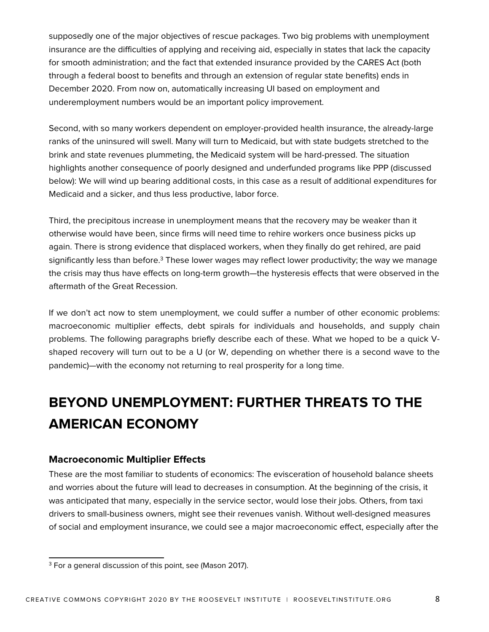supposedly one of the major objectives of rescue packages. Two big problems with unemployment insurance are the difficulties of applying and receiving aid, especially in states that lack the capacity for smooth administration; and the fact that extended insurance provided by the CARES Act (both through a federal boost to benefits and through an extension of regular state benefits) ends in December 2020. From now on, automatically increasing UI based on employment and underemployment numbers would be an important policy improvement.

Second, with so many workers dependent on employer-provided health insurance, the already-large ranks of the uninsured will swell. Many will turn to Medicaid, but with state budgets stretched to the brink and state revenues plummeting, the Medicaid system will be hard-pressed. The situation highlights another consequence of poorly designed and underfunded programs like PPP (discussed below): We will wind up bearing additional costs, in this case as a result of additional expenditures for Medicaid and a sicker, and thus less productive, labor force.

Third, the precipitous increase in unemployment means that the recovery may be weaker than it otherwise would have been, since firms will need time to rehire workers once business picks up again. There is strong evidence that displaced workers, when they finally do get rehired, are paid significantly less than before.<sup>3</sup> These lower wages may reflect lower productivity; the way we manage the crisis may thus have effects on long-term growth—the hysteresis effects that were observed in the aftermath of the Great Recession.

If we don't act now to stem unemployment, we could suffer a number of other economic problems: macroeconomic multiplier effects, debt spirals for individuals and households, and supply chain problems. The following paragraphs briefly describe each of these. What we hoped to be a quick Vshaped recovery will turn out to be a U (or W, depending on whether there is a second wave to the pandemic)—with the economy not returning to real prosperity for a long time.

# **BEYOND UNEMPLOYMENT: FURTHER THREATS TO THE AMERICAN ECONOMY**

#### **Macroeconomic Multiplier Effects**

These are the most familiar to students of economics: The evisceration of household balance sheets and worries about the future will lead to decreases in consumption. At the beginning of the crisis, it was anticipated that many, especially in the service sector, would lose their jobs. Others, from taxi drivers to small-business owners, might see their revenues vanish. Without well-designed measures of social and employment insurance, we could see a major macroeconomic effect, especially after the

<sup>&</sup>lt;sup>3</sup> For a general discussion of this point, see (Mason 2017).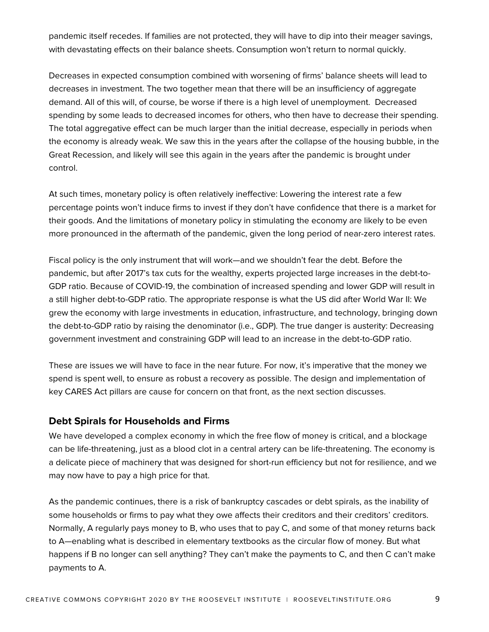pandemic itself recedes. If families are not protected, they will have to dip into their meager savings, with devastating effects on their balance sheets. Consumption won't return to normal quickly.

Decreases in expected consumption combined with worsening of firms' balance sheets will lead to decreases in investment. The two together mean that there will be an insufficiency of aggregate demand. All of this will, of course, be worse if there is a high level of unemployment. Decreased spending by some leads to decreased incomes for others, who then have to decrease their spending. The total aggregative effect can be much larger than the initial decrease, especially in periods when the economy is already weak. We saw this in the years after the collapse of the housing bubble, in the Great Recession, and likely will see this again in the years after the pandemic is brought under control.

At such times, monetary policy is often relatively ineffective: Lowering the interest rate a few percentage points won't induce firms to invest if they don't have confidence that there is a market for their goods. And the limitations of monetary policy in stimulating the economy are likely to be even more pronounced in the aftermath of the pandemic, given the long period of near-zero interest rates.

Fiscal policy is the only instrument that will work—and we shouldn't fear the debt. Before the pandemic, but after 2017's tax cuts for the wealthy, experts projected large increases in the debt-to-GDP ratio. Because of COVID-19, the combination of increased spending and lower GDP will result in a still higher debt-to-GDP ratio. The appropriate response is what the US did after World War II: We grew the economy with large investments in education, infrastructure, and technology, bringing down the debt-to-GDP ratio by raising the denominator (i.e., GDP). The true danger is austerity: Decreasing government investment and constraining GDP will lead to an increase in the debt-to-GDP ratio.

These are issues we will have to face in the near future. For now, it's imperative that the money we spend is spent well, to ensure as robust a recovery as possible. The design and implementation of key CARES Act pillars are cause for concern on that front, as the next section discusses.

#### **Debt Spirals for Households and Firms**

We have developed a complex economy in which the free flow of money is critical, and a blockage can be life-threatening, just as a blood clot in a central artery can be life-threatening. The economy is a delicate piece of machinery that was designed for short-run efficiency but not for resilience, and we may now have to pay a high price for that.

As the pandemic continues, there is a risk of bankruptcy cascades or debt spirals, as the inability of some households or firms to pay what they owe affects their creditors and their creditors' creditors. Normally, A regularly pays money to B, who uses that to pay C, and some of that money returns back to A—enabling what is described in elementary textbooks as the circular flow of money. But what happens if B no longer can sell anything? They can't make the payments to C, and then C can't make payments to A.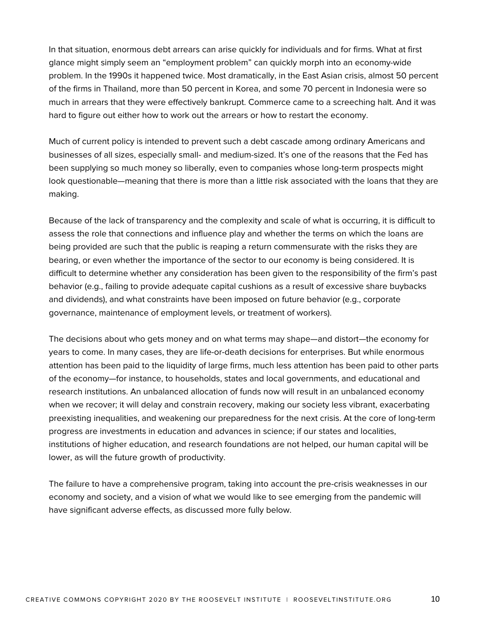In that situation, enormous debt arrears can arise quickly for individuals and for firms. What at first glance might simply seem an "employment problem" can quickly morph into an economy-wide problem. In the 1990s it happened twice. Most dramatically, in the East Asian crisis, almost 50 percent of the firms in Thailand, more than 50 percent in Korea, and some 70 percent in Indonesia were so much in arrears that they were effectively bankrupt. Commerce came to a screeching halt. And it was hard to figure out either how to work out the arrears or how to restart the economy.

Much of current policy is intended to prevent such a debt cascade among ordinary Americans and businesses of all sizes, especially small- and medium-sized. It's one of the reasons that the Fed has been supplying so much money so liberally, even to companies whose long-term prospects might look questionable—meaning that there is more than a little risk associated with the loans that they are making.

Because of the lack of transparency and the complexity and scale of what is occurring, it is difficult to assess the role that connections and influence play and whether the terms on which the loans are being provided are such that the public is reaping a return commensurate with the risks they are bearing, or even whether the importance of the sector to our economy is being considered. It is difficult to determine whether any consideration has been given to the responsibility of the firm's past behavior (e.g., failing to provide adequate capital cushions as a result of excessive share buybacks and dividends), and what constraints have been imposed on future behavior (e.g., corporate governance, maintenance of employment levels, or treatment of workers).

The decisions about who gets money and on what terms may shape—and distort—the economy for years to come. In many cases, they are life-or-death decisions for enterprises. But while enormous attention has been paid to the liquidity of large firms, much less attention has been paid to other parts of the economy—for instance, to households, states and local governments, and educational and research institutions. An unbalanced allocation of funds now will result in an unbalanced economy when we recover; it will delay and constrain recovery, making our society less vibrant, exacerbating preexisting inequalities, and weakening our preparedness for the next crisis. At the core of long-term progress are investments in education and advances in science; if our states and localities, institutions of higher education, and research foundations are not helped, our human capital will be lower, as will the future growth of productivity.

The failure to have a comprehensive program, taking into account the pre-crisis weaknesses in our economy and society, and a vision of what we would like to see emerging from the pandemic will have significant adverse effects, as discussed more fully below.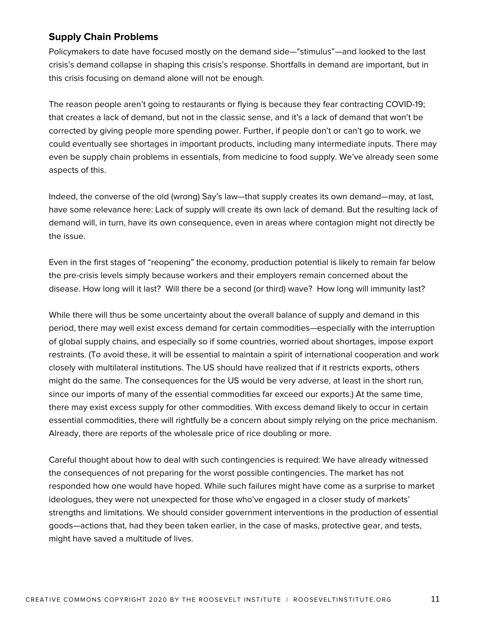#### **Supply Chain Problems**

Policymakers to date have focused mostly on the demand side—"stimulus"—and looked to the last crisis's demand collapse in shaping this crisis's response. Shortfalls in demand are important, but in this crisis focusing on demand alone will not be enough.

The reason people aren't going to restaurants or flying is because they fear contracting COVID-19; that creates a lack of demand, but not in the classic sense, and it's a lack of demand that won't be corrected by giving people more spending power. Further, if people don't or can't go to work, we could eventually see shortages in important products, including many intermediate inputs. There may even be supply chain problems in essentials, from medicine to food supply. We've already seen some aspects of this.

Indeed, the converse of the old (wrong) Say's law—that supply creates its own demand—may, at last, have some relevance here: Lack of supply will create its own lack of demand. But the resulting lack of demand will, in turn, have its own consequence, even in areas where contagion might not directly be the issue.

Even in the first stages of "reopening" the economy, production potential is likely to remain far below the pre-crisis levels simply because workers and their employers remain concerned about the disease. How long will it last? Will there be a second (or third) wave? How long will immunity last?

While there will thus be some uncertainty about the overall balance of supply and demand in this period, there may well exist excess demand for certain commodities—especially with the interruption of global supply chains, and especially so if some countries, worried about shortages, impose export restraints. (To avoid these, it will be essential to maintain a spirit of international cooperation and work closely with multilateral institutions. The US should have realized that if it restricts exports, others might do the same. The consequences for the US would be very adverse, at least in the short run, since our imports of many of the essential commodities far exceed our exports.) At the same time, there may exist excess supply for other commodities. With excess demand likely to occur in certain essential commodities, there will rightfully be a concern about simply relying on the price mechanism. Already, there are reports of the wholesale price of rice doubling or more.

Careful thought about how to deal with such contingencies is required: We have already witnessed the consequences of not preparing for the worst possible contingencies. The market has not responded how one would have hoped. While such failures might have come as a surprise to market ideologues, they were not unexpected for those who've engaged in a closer study of markets' strengths and limitations. We should consider government interventions in the production of essential goods—actions that, had they been taken earlier, in the case of masks, protective gear, and tests, might have saved a multitude of lives.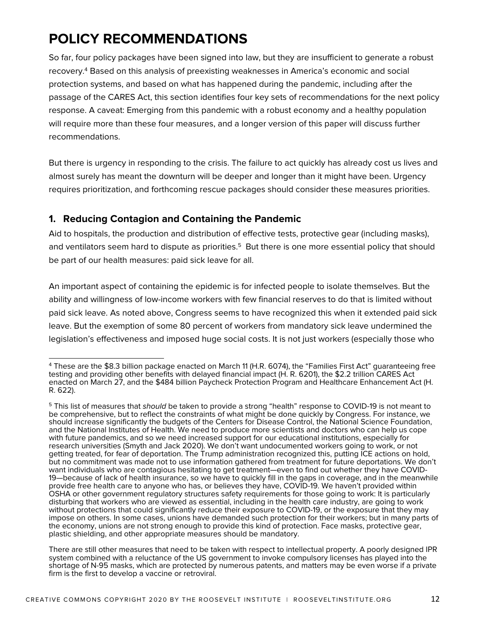# **POLICY RECOMMENDATIONS**

So far, four policy packages have been signed into law, but they are insufficient to generate a robust recovery.4 Based on this analysis of preexisting weaknesses in America's economic and social protection systems, and based on what has happened during the pandemic, including after the passage of the CARES Act, this section identifies four key sets of recommendations for the next policy response. A caveat: Emerging from this pandemic with a robust economy and a healthy population will require more than these four measures, and a longer version of this paper will discuss further recommendations.

But there is urgency in responding to the crisis. The failure to act quickly has already cost us lives and almost surely has meant the downturn will be deeper and longer than it might have been. Urgency requires prioritization, and forthcoming rescue packages should consider these measures priorities.

#### **1. Reducing Contagion and Containing the Pandemic**

Aid to hospitals, the production and distribution of effective tests, protective gear (including masks), and ventilators seem hard to dispute as priorities.<sup>5</sup> But there is one more essential policy that should be part of our health measures: paid sick leave for all.

An important aspect of containing the epidemic is for infected people to isolate themselves. But the ability and willingness of low-income workers with few financial reserves to do that is limited without paid sick leave. As noted above, Congress seems to have recognized this when it extended paid sick leave. But the exemption of some 80 percent of workers from mandatory sick leave undermined the legislation's effectiveness and imposed huge social costs. It is not just workers (especially those who

<sup>4</sup> These are the \$8.3 billion package enacted on March 11 (H.R. 6074), the "Families First Act" guaranteeing free testing and providing other benefits with delayed financial impact (H. R. 6201), the \$2.2 trillion CARES Act enacted on March 27, and the \$484 billion Paycheck Protection Program and Healthcare Enhancement Act (H. R. 622).

<sup>5</sup> This list of measures that *should* be taken to provide a strong "health" response to COVID-19 is not meant to be comprehensive, but to reflect the constraints of what might be done quickly by Congress. For instance, we should increase significantly the budgets of the Centers for Disease Control, the National Science Foundation, and the National Institutes of Health. We need to produce more scientists and doctors who can help us cope with future pandemics, and so we need increased support for our educational institutions, especially for research universities (Smyth and Jack 2020). We don't want undocumented workers going to work, or not getting treated, for fear of deportation. The Trump administration recognized this, putting ICE actions on hold, but no commitment was made not to use information gathered from treatment for future deportations. We don't<br>want individuals who are contagious hesitating to get treatment—even to find out whether they have COVID-19—because of lack of health insurance, so we have to quickly fill in the gaps in coverage, and in the meanwhile provide free health care to anyone who has, or believes they have, COVID-19. We haven't provided within OSHA or other government regulatory structures safety requirements for those going to work: It is particularly disturbing that workers who are viewed as essential, including in the health care industry, are going to work without protections that could significantly reduce their exposure to COVID-19, or the exposure that they may impose on others. In some cases, unions have demanded such protection for their workers; but in many parts of the economy, unions are not strong enough to provide this kind of protection. Face masks, protective gear, plastic shielding, and other appropriate measures should be mandatory.

There are still other measures that need to be taken with respect to intellectual property. A poorly designed IPR system combined with a reluctance of the US government to invoke compulsory licenses has played into the shortage of N-95 masks, which are protected by numerous patents, and matters may be even worse if a private firm is the first to develop a vaccine or retroviral.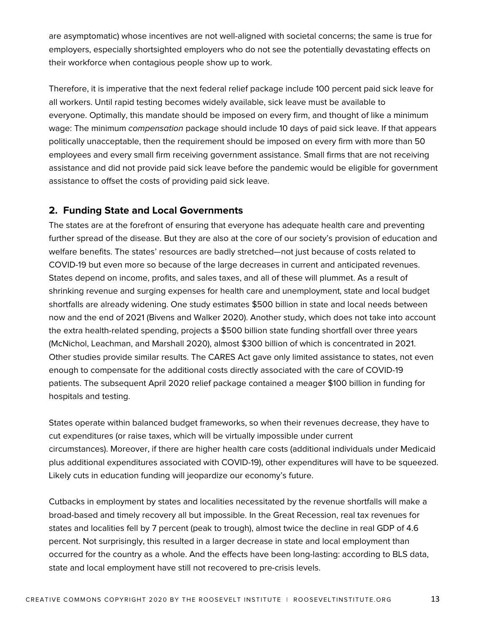are asymptomatic) whose incentives are not well-aligned with societal concerns; the same is true for employers, especially shortsighted employers who do not see the potentially devastating effects on their workforce when contagious people show up to work.

Therefore, it is imperative that the next federal relief package include 100 percent paid sick leave for all workers. Until rapid testing becomes widely available, sick leave must be available to everyone. Optimally, this mandate should be imposed on every firm, and thought of like a minimum wage: The minimum *compensation* package should include 10 days of paid sick leave. If that appears politically unacceptable, then the requirement should be imposed on every firm with more than 50 employees and every small firm receiving government assistance. Small firms that are not receiving assistance and did not provide paid sick leave before the pandemic would be eligible for government assistance to offset the costs of providing paid sick leave.

#### **2. Funding State and Local Governments**

The states are at the forefront of ensuring that everyone has adequate health care and preventing further spread of the disease. But they are also at the core of our society's provision of education and welfare benefits. The states' resources are badly stretched—not just because of costs related to COVID-19 but even more so because of the large decreases in current and anticipated revenues. States depend on income, profits, and sales taxes, and all of these will plummet. As a result of shrinking revenue and surging expenses for health care and unemployment, state and local budget shortfalls are already widening. One study estimates \$500 billion in state and local needs between now and the end of 2021 (Bivens and Walker 2020). Another study, which does not take into account the extra health-related spending, projects a \$500 billion state funding shortfall over three years (McNichol, Leachman, and Marshall 2020), almost \$300 billion of which is concentrated in 2021. Other studies provide similar results. The CARES Act gave only limited assistance to states, not even enough to compensate for the additional costs directly associated with the care of COVID-19 patients. The subsequent April 2020 relief package contained a meager \$100 billion in funding for hospitals and testing.

States operate within balanced budget frameworks, so when their revenues decrease, they have to cut expenditures (or raise taxes, which will be virtually impossible under current circumstances). Moreover, if there are higher health care costs (additional individuals under Medicaid plus additional expenditures associated with COVID-19), other expenditures will have to be squeezed. Likely cuts in education funding will jeopardize our economy's future.

Cutbacks in employment by states and localities necessitated by the revenue shortfalls will make a broad-based and timely recovery all but impossible. In the Great Recession, real tax revenues for states and localities fell by 7 percent (peak to trough), almost twice the decline in real GDP of 4.6 percent. Not surprisingly, this resulted in a larger decrease in state and local employment than occurred for the country as a whole. And the effects have been long-lasting: according to BLS data, state and local employment have still not recovered to pre-crisis levels.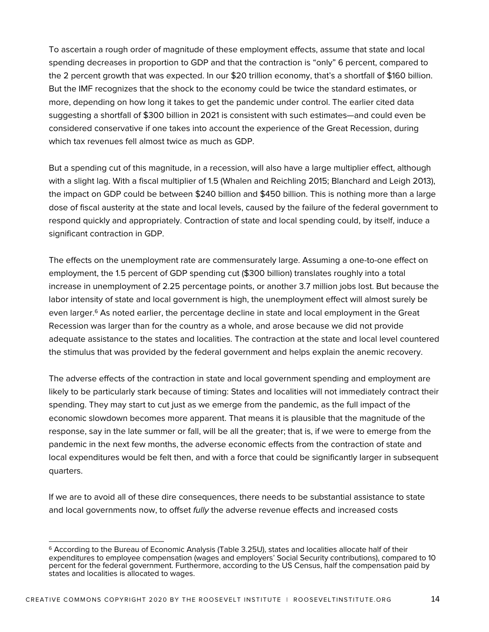To ascertain a rough order of magnitude of these employment effects, assume that state and local spending decreases in proportion to GDP and that the contraction is "only" 6 percent, compared to the 2 percent growth that was expected. In our \$20 trillion economy, that's a shortfall of \$160 billion. But the IMF recognizes that the shock to the economy could be twice the standard estimates, or more, depending on how long it takes to get the pandemic under control. The earlier cited data suggesting a shortfall of \$300 billion in 2021 is consistent with such estimates—and could even be considered conservative if one takes into account the experience of the Great Recession, during which tax revenues fell almost twice as much as GDP.

But a spending cut of this magnitude, in a recession, will also have a large multiplier effect, although with a slight lag. With a fiscal multiplier of 1.5 (Whalen and Reichling 2015; Blanchard and Leigh 2013), the impact on GDP could be between \$240 billion and \$450 billion. This is nothing more than a large dose of fiscal austerity at the state and local levels, caused by the failure of the federal government to respond quickly and appropriately. Contraction of state and local spending could, by itself, induce a significant contraction in GDP.

The effects on the unemployment rate are commensurately large. Assuming a one-to-one effect on employment, the 1.5 percent of GDP spending cut (\$300 billion) translates roughly into a total increase in unemployment of 2.25 percentage points, or another 3.7 million jobs lost. But because the labor intensity of state and local government is high, the unemployment effect will almost surely be even larger.<sup>6</sup> As noted earlier, the percentage decline in state and local employment in the Great Recession was larger than for the country as a whole, and arose because we did not provide adequate assistance to the states and localities. The contraction at the state and local level countered the stimulus that was provided by the federal government and helps explain the anemic recovery.

The adverse effects of the contraction in state and local government spending and employment are likely to be particularly stark because of timing: States and localities will not immediately contract their spending. They may start to cut just as we emerge from the pandemic, as the full impact of the economic slowdown becomes more apparent. That means it is plausible that the magnitude of the response, say in the late summer or fall, will be all the greater; that is, if we were to emerge from the pandemic in the next few months, the adverse economic effects from the contraction of state and local expenditures would be felt then, and with a force that could be significantly larger in subsequent quarters.

If we are to avoid all of these dire consequences, there needs to be substantial assistance to state and local governments now, to offset *fully* the adverse revenue effects and increased costs

<sup>6</sup> According to the Bureau of Economic Analysis (Table 3.25U), states and localities allocate half of their expenditures to employee compensation (wages and employers' Social Security contributions), compared to 10 percent for the federal government. Furthermore, according to the US Census, half the compensation paid by states and localities is allocated to wages.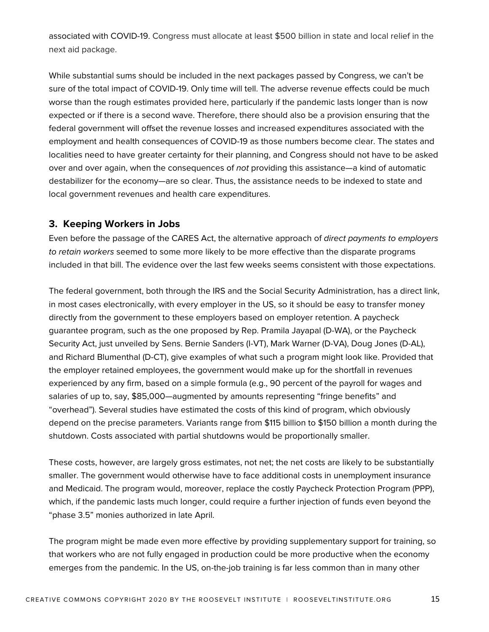associated with COVID-19. Congress must allocate at least \$500 billion in state and local relief in the next aid package.

While substantial sums should be included in the next packages passed by Congress, we can't be sure of the total impact of COVID-19. Only time will tell. The adverse revenue effects could be much worse than the rough estimates provided here, particularly if the pandemic lasts longer than is now expected or if there is a second wave. Therefore, there should also be a provision ensuring that the federal government will offset the revenue losses and increased expenditures associated with the employment and health consequences of COVID-19 as those numbers become clear. The states and localities need to have greater certainty for their planning, and Congress should not have to be asked over and over again, when the consequences of *not* providing this assistance—a kind of automatic destabilizer for the economy—are so clear. Thus, the assistance needs to be indexed to state and local government revenues and health care expenditures.

#### **3. Keeping Workers in Jobs**

Even before the passage of the CARES Act, the alternative approach of *direct payments to employers to retain workers* seemed to some more likely to be more effective than the disparate programs included in that bill. The evidence over the last few weeks seems consistent with those expectations.

The federal government, both through the IRS and the Social Security Administration, has a direct link, in most cases electronically, with every employer in the US, so it should be easy to transfer money directly from the government to these employers based on employer retention. A paycheck guarantee program, such as the one proposed by Rep. Pramila Jayapal (D-WA), or the Paycheck Security Act, just unveiled by Sens. Bernie Sanders (I-VT), Mark Warner (D-VA), Doug Jones (D-AL), and Richard Blumenthal (D-CT), give examples of what such a program might look like. Provided that the employer retained employees, the government would make up for the shortfall in revenues experienced by any firm, based on a simple formula (e.g., 90 percent of the payroll for wages and salaries of up to, say, \$85,000—augmented by amounts representing "fringe benefits" and "overhead"). Several studies have estimated the costs of this kind of program, which obviously depend on the precise parameters. Variants range from \$115 billion to \$150 billion a month during the shutdown. Costs associated with partial shutdowns would be proportionally smaller.

These costs, however, are largely gross estimates, not net; the net costs are likely to be substantially smaller. The government would otherwise have to face additional costs in unemployment insurance and Medicaid. The program would, moreover, replace the costly Paycheck Protection Program (PPP), which, if the pandemic lasts much longer, could require a further injection of funds even beyond the "phase 3.5" monies authorized in late April.

The program might be made even more effective by providing supplementary support for training, so that workers who are not fully engaged in production could be more productive when the economy emerges from the pandemic. In the US, on-the-job training is far less common than in many other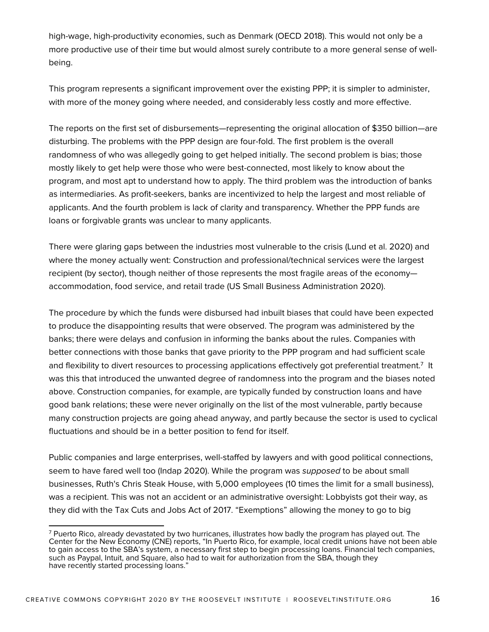high-wage, high-productivity economies, such as Denmark (OECD 2018). This would not only be a more productive use of their time but would almost surely contribute to a more general sense of wellbeing.

This program represents a significant improvement over the existing PPP; it is simpler to administer, with more of the money going where needed, and considerably less costly and more effective.

The reports on the first set of disbursements—representing the original allocation of \$350 billion—are disturbing. The problems with the PPP design are four-fold. The first problem is the overall randomness of who was allegedly going to get helped initially. The second problem is bias; those mostly likely to get help were those who were best-connected, most likely to know about the program, and most apt to understand how to apply. The third problem was the introduction of banks as intermediaries. As profit-seekers, banks are incentivized to help the largest and most reliable of applicants. And the fourth problem is lack of clarity and transparency. Whether the PPP funds are loans or forgivable grants was unclear to many applicants.

There were glaring gaps between the industries most vulnerable to the crisis (Lund et al. 2020) and where the money actually went: Construction and professional/technical services were the largest recipient (by sector), though neither of those represents the most fragile areas of the economy accommodation, food service, and retail trade (US Small Business Administration 2020).

The procedure by which the funds were disbursed had inbuilt biases that could have been expected to produce the disappointing results that were observed. The program was administered by the banks; there were delays and confusion in informing the banks about the rules. Companies with better connections with those banks that gave priority to the PPP program and had sufficient scale and flexibility to divert resources to processing applications effectively got preferential treatment.<sup>7</sup> It was this that introduced the unwanted degree of randomness into the program and the biases noted above. Construction companies, for example, are typically funded by construction loans and have good bank relations; these were never originally on the list of the most vulnerable, partly because many construction projects are going ahead anyway, and partly because the sector is used to cyclical fluctuations and should be in a better position to fend for itself.

Public companies and large enterprises, well-staffed by lawyers and with good political connections, seem to have fared well too (Indap 2020). While the program was *supposed* to be about small businesses, Ruth's Chris Steak House, with 5,000 employees (10 times the limit for a small business), was a recipient. This was not an accident or an administrative oversight: Lobbyists got their way, as they did with the Tax Cuts and Jobs Act of 2017. "Exemptions" allowing the money to go to big

 $<sup>7</sup>$  Puerto Rico, already devastated by two hurricanes, illustrates how badly the program has played out. The</sup> Center for the New Economy (CNE) reports, "In Puerto Rico, for example, local credit unions have not been able to gain access to the SBA's system, a necessary first step to begin processing loans. Financial tech companies, such as Paypal, Intuit, and Square, also had to wait for authorization from the SBA, though they have recently started processing loans."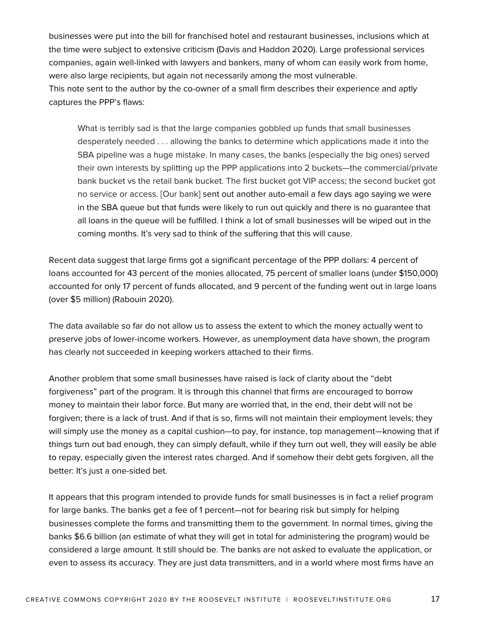businesses were put into the bill for franchised hotel and restaurant businesses, inclusions which at the time were subject to extensive criticism (Davis and Haddon 2020). Large professional services companies, again well-linked with lawyers and bankers, many of whom can easily work from home, were also large recipients, but again not necessarily among the most vulnerable. This note sent to the author by the co-owner of a small firm describes their experience and aptly captures the PPP's flaws:

What is terribly sad is that the large companies gobbled up funds that small businesses desperately needed . . . allowing the banks to determine which applications made it into the SBA pipeline was a huge mistake. In many cases, the banks (especially the big ones) served their own interests by splitting up the PPP applications into 2 buckets—the commercial/private bank bucket vs the retail bank bucket. The first bucket got VIP access; the second bucket got no service or access. [Our bank] sent out another auto-email a few days ago saying we were in the SBA queue but that funds were likely to run out quickly and there is no guarantee that all loans in the queue will be fulfilled. I think a lot of small businesses will be wiped out in the coming months. It's very sad to think of the suffering that this will cause.

Recent data suggest that large firms got a significant percentage of the PPP dollars: 4 percent of loans accounted for 43 percent of the monies allocated, 75 percent of smaller loans (under \$150,000) accounted for only 17 percent of funds allocated, and 9 percent of the funding went out in large loans (over \$5 million) (Rabouin 2020).

The data available so far do not allow us to assess the extent to which the money actually went to preserve jobs of lower-income workers. However, as unemployment data have shown, the program has clearly not succeeded in keeping workers attached to their firms.

Another problem that some small businesses have raised is lack of clarity about the "debt forgiveness" part of the program. It is through this channel that firms are encouraged to borrow money to maintain their labor force. But many are worried that, in the end, their debt will not be forgiven; there is a lack of trust. And if that is so, firms will not maintain their employment levels; they will simply use the money as a capital cushion—to pay, for instance, top management—knowing that if things turn out bad enough, they can simply default, while if they turn out well, they will easily be able to repay, especially given the interest rates charged. And if somehow their debt gets forgiven, all the better: It's just a one-sided bet.

It appears that this program intended to provide funds for small businesses is in fact a relief program for large banks. The banks get a fee of 1 percent—not for bearing risk but simply for helping businesses complete the forms and transmitting them to the government. In normal times, giving the banks \$6.6 billion (an estimate of what they will get in total for administering the program) would be considered a large amount. It still should be. The banks are not asked to evaluate the application, or even to assess its accuracy. They are just data transmitters, and in a world where most firms have an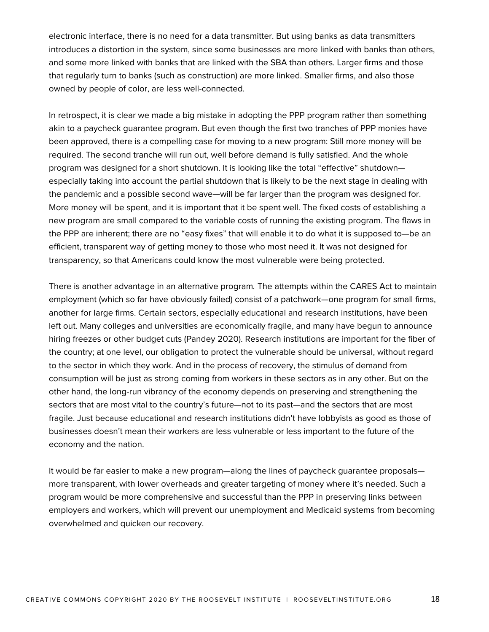electronic interface, there is no need for a data transmitter. But using banks as data transmitters introduces a distortion in the system, since some businesses are more linked with banks than others, and some more linked with banks that are linked with the SBA than others. Larger firms and those that regularly turn to banks (such as construction) are more linked. Smaller firms, and also those owned by people of color, are less well-connected.

In retrospect, it is clear we made a big mistake in adopting the PPP program rather than something akin to a paycheck guarantee program. But even though the first two tranches of PPP monies have been approved, there is a compelling case for moving to a new program: Still more money will be required. The second tranche will run out, well before demand is fully satisfied. And the whole program was designed for a short shutdown. It is looking like the total "effective" shutdown especially taking into account the partial shutdown that is likely to be the next stage in dealing with the pandemic and a possible second wave—will be far larger than the program was designed for. More money will be spent, and it is important that it be spent well. The fixed costs of establishing a new program are small compared to the variable costs of running the existing program. The flaws in the PPP are inherent; there are no "easy fixes" that will enable it to do what it is supposed to—be an efficient, transparent way of getting money to those who most need it. It was not designed for transparency, so that Americans could know the most vulnerable were being protected.

There is another advantage in an alternative program*.* The attempts within the CARES Act to maintain employment (which so far have obviously failed) consist of a patchwork—one program for small firms, another for large firms. Certain sectors, especially educational and research institutions, have been left out. Many colleges and universities are economically fragile, and many have begun to announce hiring freezes or other budget cuts (Pandey 2020). Research institutions are important for the fiber of the country; at one level, our obligation to protect the vulnerable should be universal, without regard to the sector in which they work. And in the process of recovery, the stimulus of demand from consumption will be just as strong coming from workers in these sectors as in any other. But on the other hand, the long-run vibrancy of the economy depends on preserving and strengthening the sectors that are most vital to the country's future—not to its past—and the sectors that are most fragile. Just because educational and research institutions didn't have lobbyists as good as those of businesses doesn't mean their workers are less vulnerable or less important to the future of the economy and the nation.

It would be far easier to make a new program—along the lines of paycheck guarantee proposals more transparent, with lower overheads and greater targeting of money where it's needed. Such a program would be more comprehensive and successful than the PPP in preserving links between employers and workers, which will prevent our unemployment and Medicaid systems from becoming overwhelmed and quicken our recovery.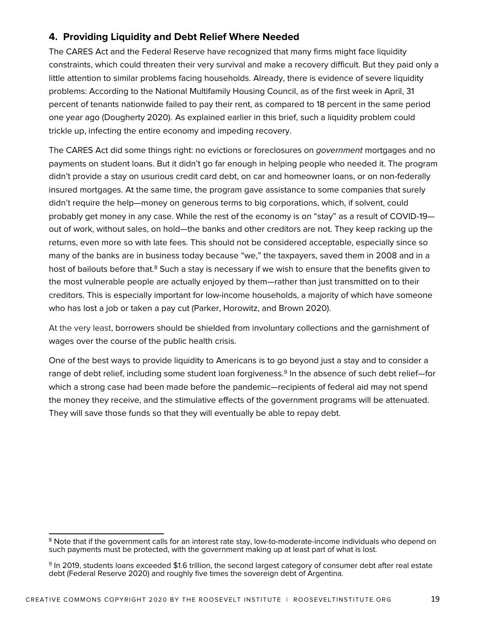#### **4. Providing Liquidity and Debt Relief Where Needed**

The CARES Act and the Federal Reserve have recognized that many firms might face liquidity constraints, which could threaten their very survival and make a recovery difficult. But they paid only a little attention to similar problems facing households. Already, there is evidence of severe liquidity problems: According to the National Multifamily Housing Council, as of the first week in April, 31 percent of tenants nationwide failed to pay their rent, as compared to 18 percent in the same period one year ago (Dougherty 2020). As explained earlier in this brief, such a liquidity problem could trickle up, infecting the entire economy and impeding recovery.

The CARES Act did some things right: no evictions or foreclosures on *government* mortgages and no payments on student loans. But it didn't go far enough in helping people who needed it. The program didn't provide a stay on usurious credit card debt, on car and homeowner loans, or on non-federally insured mortgages. At the same time, the program gave assistance to some companies that surely didn't require the help—money on generous terms to big corporations, which, if solvent, could probably get money in any case. While the rest of the economy is on "stay" as a result of COVID-19 out of work, without sales, on hold—the banks and other creditors are not. They keep racking up the returns, even more so with late fees. This should not be considered acceptable, especially since so many of the banks are in business today because "we," the taxpayers, saved them in 2008 and in a host of bailouts before that.<sup>8</sup> Such a stay is necessary if we wish to ensure that the benefits given to the most vulnerable people are actually enjoyed by them—rather than just transmitted on to their creditors. This is especially important for low-income households, a majority of which have someone who has lost a job or taken a pay cut (Parker, Horowitz, and Brown 2020).

At the very least, borrowers should be shielded from involuntary collections and the garnishment of wages over the course of the public health crisis.

One of the best ways to provide liquidity to Americans is to go beyond just a stay and to consider a range of debt relief, including some student loan forgiveness.<sup>9</sup> In the absence of such debt relief-for which a strong case had been made before the pandemic—recipients of federal aid may not spend the money they receive, and the stimulative effects of the government programs will be attenuated. They will save those funds so that they will eventually be able to repay debt.

<sup>&</sup>lt;sup>8</sup> Note that if the government calls for an interest rate stay, low-to-moderate-income individuals who depend on such payments must be protected, with the government making up at least part of what is lost.

<sup>9</sup> In 2019, students loans exceeded \$1.6 trillion, the second largest category of consumer debt after real estate debt (Federal Reserve 2020) and roughly five times the sovereign debt of Argentina.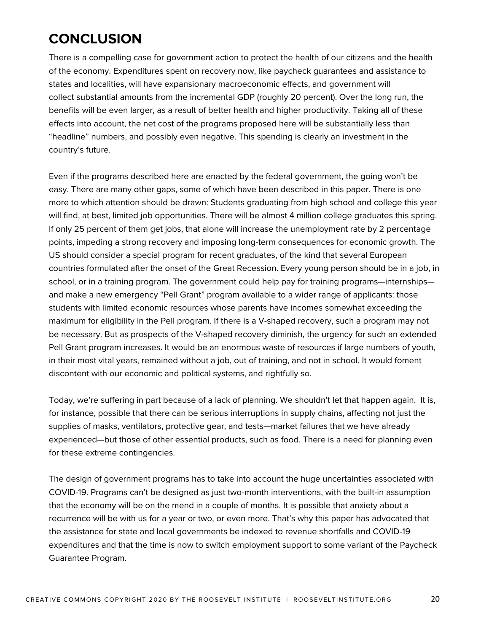# **CONCLUSION**

There is a compelling case for government action to protect the health of our citizens and the health of the economy. Expenditures spent on recovery now, like paycheck guarantees and assistance to states and localities, will have expansionary macroeconomic effects, and government will collect substantial amounts from the incremental GDP (roughly 20 percent). Over the long run, the benefits will be even larger, as a result of better health and higher productivity. Taking all of these effects into account, the net cost of the programs proposed here will be substantially less than "headline" numbers, and possibly even negative. This spending is clearly an investment in the country's future.

Even if the programs described here are enacted by the federal government, the going won't be easy. There are many other gaps, some of which have been described in this paper. There is one more to which attention should be drawn: Students graduating from high school and college this year will find, at best, limited job opportunities. There will be almost 4 million college graduates this spring. If only 25 percent of them get jobs, that alone will increase the unemployment rate by 2 percentage points, impeding a strong recovery and imposing long-term consequences for economic growth. The US should consider a special program for recent graduates, of the kind that several European countries formulated after the onset of the Great Recession. Every young person should be in a job, in school, or in a training program. The government could help pay for training programs—internships and make a new emergency "Pell Grant" program available to a wider range of applicants: those students with limited economic resources whose parents have incomes somewhat exceeding the maximum for eligibility in the Pell program. If there is a V-shaped recovery, such a program may not be necessary. But as prospects of the V-shaped recovery diminish, the urgency for such an extended Pell Grant program increases. It would be an enormous waste of resources if large numbers of youth, in their most vital years, remained without a job, out of training, and not in school. It would foment discontent with our economic and political systems, and rightfully so.

Today, we're suffering in part because of a lack of planning. We shouldn't let that happen again. It is, for instance, possible that there can be serious interruptions in supply chains, affecting not just the supplies of masks, ventilators, protective gear, and tests—market failures that we have already experienced—but those of other essential products, such as food. There is a need for planning even for these extreme contingencies.

The design of government programs has to take into account the huge uncertainties associated with COVID-19. Programs can't be designed as just two-month interventions, with the built-in assumption that the economy will be on the mend in a couple of months. It is possible that anxiety about a recurrence will be with us for a year or two, or even more. That's why this paper has advocated that the assistance for state and local governments be indexed to revenue shortfalls and COVID-19 expenditures and that the time is now to switch employment support to some variant of the Paycheck Guarantee Program.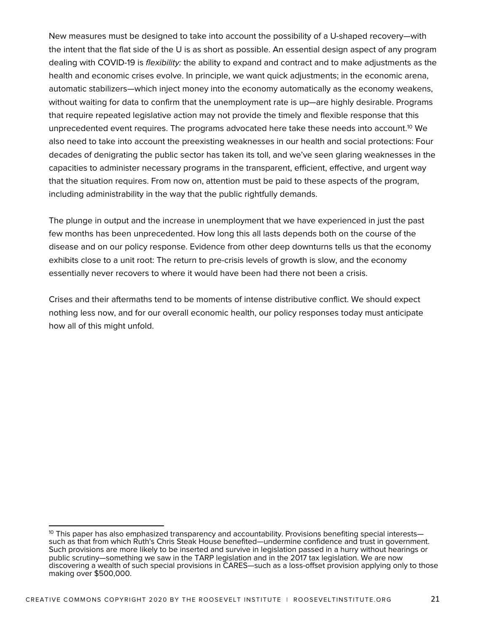New measures must be designed to take into account the possibility of a U-shaped recovery—with the intent that the flat side of the U is as short as possible. An essential design aspect of any program dealing with COVID-19 is *flexibility:* the ability to expand and contract and to make adjustments as the health and economic crises evolve. In principle, we want quick adjustments; in the economic arena, automatic stabilizers—which inject money into the economy automatically as the economy weakens, without waiting for data to confirm that the unemployment rate is up—are highly desirable. Programs that require repeated legislative action may not provide the timely and flexible response that this unprecedented event requires. The programs advocated here take these needs into account.<sup>10</sup> We also need to take into account the preexisting weaknesses in our health and social protections: Four decades of denigrating the public sector has taken its toll, and we've seen glaring weaknesses in the capacities to administer necessary programs in the transparent, efficient, effective, and urgent way that the situation requires. From now on, attention must be paid to these aspects of the program, including administrability in the way that the public rightfully demands.

The plunge in output and the increase in unemployment that we have experienced in just the past few months has been unprecedented. How long this all lasts depends both on the course of the disease and on our policy response. Evidence from other deep downturns tells us that the economy exhibits close to a unit root: The return to pre-crisis levels of growth is slow, and the economy essentially never recovers to where it would have been had there not been a crisis.

Crises and their aftermaths tend to be moments of intense distributive conflict. We should expect nothing less now, and for our overall economic health, our policy responses today must anticipate how all of this might unfold.

 $10$  This paper has also emphasized transparency and accountability. Provisions benefiting special interests— such as that from which Ruth's Chris Steak House benefited—undermine confidence and trust in government. Such provisions are more likely to be inserted and survive in legislation passed in a hurry without hearings or public scrutiny—something we saw in the TARP legislation and in the 2017 tax legislation. We are now discovering a wealth of such special provisions in CARES—such as a loss-offset provision applying only to those making over \$500,000.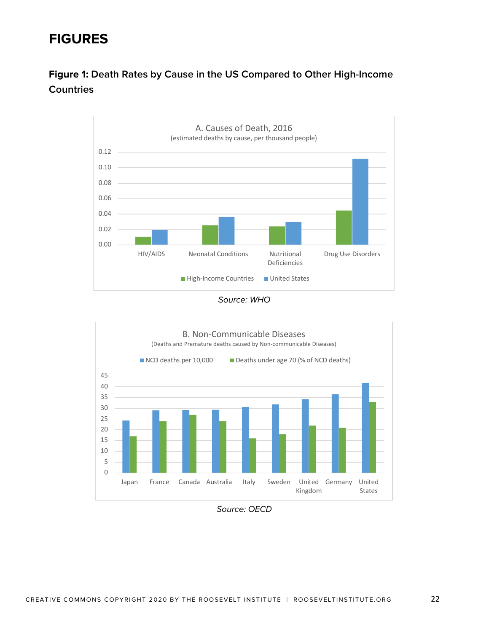# **FIGURES**

## **Figure 1: Death Rates by Cause in the US Compared to Other High-Income Countries**







*Source: OECD*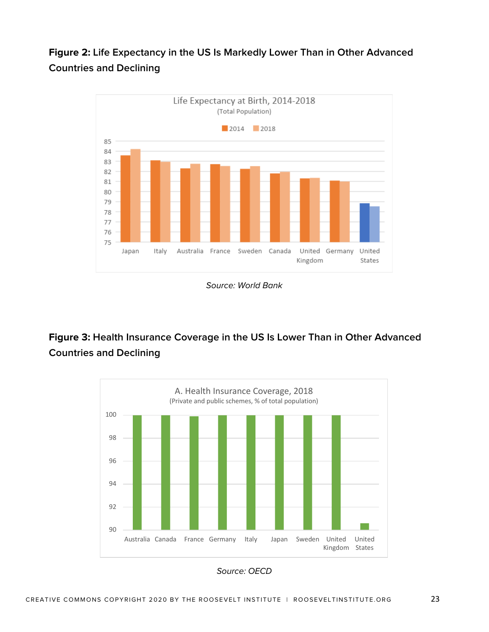## **Figure 2: Life Expectancy in the US Is Markedly Lower Than in Other Advanced Countries and Declining**



*Source: World Bank*

## **Figure 3: Health Insurance Coverage in the US Is Lower Than in Other Advanced Countries and Declining**

![](_page_22_Figure_4.jpeg)

*Source: OECD*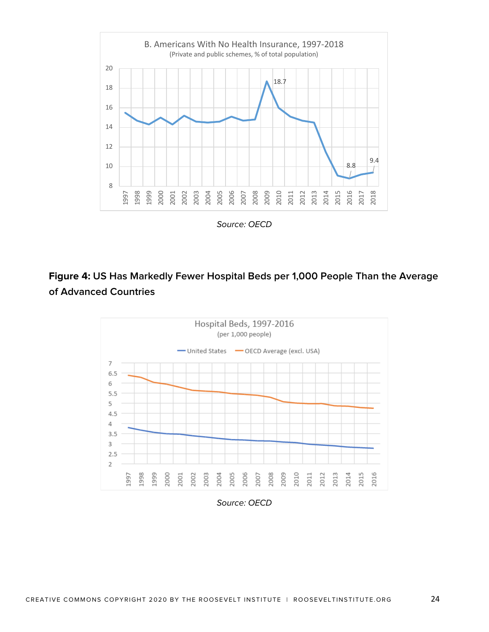![](_page_23_Figure_0.jpeg)

*Source: OECD*

## **Figure 4: US Has Markedly Fewer Hospital Beds per 1,000 People Than the Average of Advanced Countries**

![](_page_23_Figure_3.jpeg)

*Source: OECD*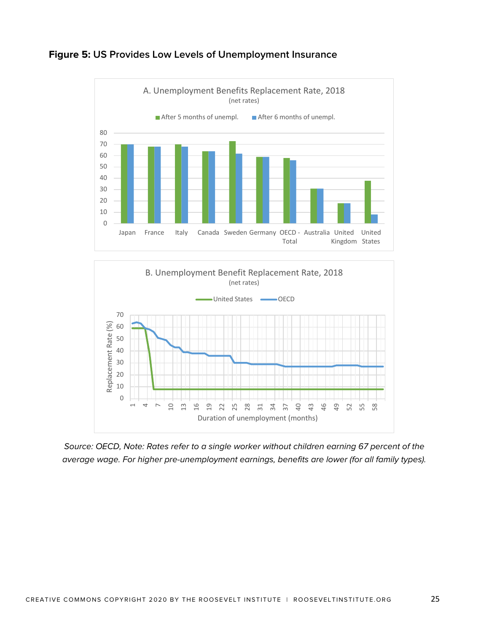![](_page_24_Figure_0.jpeg)

### **Figure 5: US Provides Low Levels of Unemployment Insurance**

![](_page_24_Figure_2.jpeg)

*Source: OECD, Note: Rates refer to a single worker without children earning 67 percent of the average wage. For higher pre-unemployment earnings, benefits are lower (for all family types).*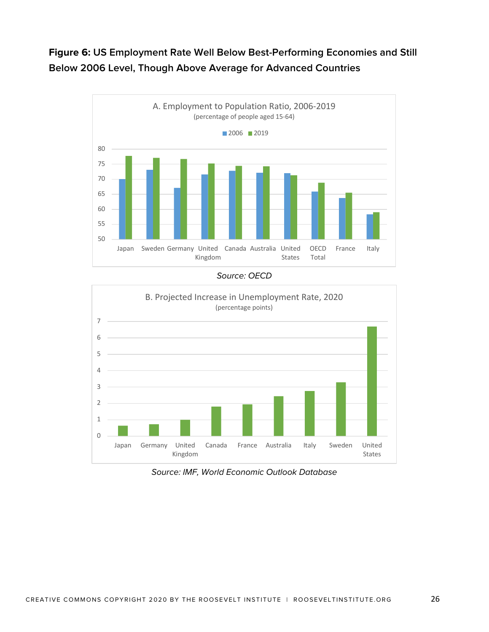## **Figure 6: US Employment Rate Well Below Best-Performing Economies and Still Below 2006 Level, Though Above Average for Advanced Countries**

![](_page_25_Figure_1.jpeg)

*Source: OECD*

![](_page_25_Figure_3.jpeg)

*Source: IMF, World Economic Outlook Database*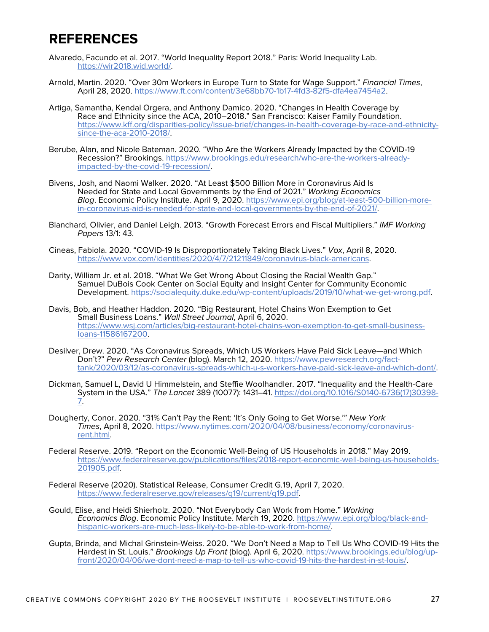## **REFERENCES**

- Alvaredo, Facundo et al. 2017. "World Inequality Report 2018." Paris: World Inequality Lab. https://wir2018.wid.world/.
- Arnold, Martin. 2020. "Over 30m Workers in Europe Turn to State for Wage Support." *Financial Times*, April 28, 2020. https://www.ft.com/content/3e68bb70-1b17-4fd3-82f5-dfa4ea7454a2.
- Artiga, Samantha, Kendal Orgera, and Anthony Damico. 2020. "Changes in Health Coverage by Race and Ethnicity since the ACA, 2010–2018." San Francisco: Kaiser Family Foundation. https://www.kff.org/disparities-policy/issue-brief/changes-in-health-coverage-by-race-and-ethnicitysince-the-aca-2010-2018/.
- Berube, Alan, and Nicole Bateman. 2020. "Who Are the Workers Already Impacted by the COVID-19 Recession?" Brookings. https://www.brookings.edu/research/who-are-the-workers-alreadyimpacted-by-the-covid-19-recession/.
- Bivens, Josh, and Naomi Walker. 2020. "At Least \$500 Billion More in Coronavirus Aid Is Needed for State and Local Governments by the End of 2021." *Working Economics Blog*. Economic Policy Institute. April 9, 2020. https://www.epi.org/blog/at-least-500-billion-morein-coronavirus-aid-is-needed-for-state-and-local-governments-by-the-end-of-2021/.
- Blanchard, Olivier, and Daniel Leigh. 2013. "Growth Forecast Errors and Fiscal Multipliers." *IMF Working Papers* 13/1: 43.
- Cineas, Fabiola. 2020. "COVID-19 Is Disproportionately Taking Black Lives." *Vox*, April 8, 2020. https://www.vox.com/identities/2020/4/7/21211849/coronavirus-black-americans.
- Darity, William Jr. et al. 2018. "What We Get Wrong About Closing the Racial Wealth Gap." Samuel DuBois Cook Center on Social Equity and Insight Center for Community Economic Development. https://socialequity.duke.edu/wp-content/uploads/2019/10/what-we-get-wrong.pdf.
- Davis, Bob, and Heather Haddon. 2020. "Big Restaurant, Hotel Chains Won Exemption to Get Small Business Loans." *Wall Street Journal*, April 6, 2020. https://www.wsj.com/articles/big-restaurant-hotel-chains-won-exemption-to-get-small-businessloans-11586167200.
- Desilver, Drew. 2020. "As Coronavirus Spreads, Which US Workers Have Paid Sick Leave—and Which Don't?" *Pew Research Center* (blog). March 12, 2020. https://www.pewresearch.org/facttank/2020/03/12/as-coronavirus-spreads-which-u-s-workers-have-paid-sick-leave-and-which-dont/.
- Dickman, Samuel L, David U Himmelstein, and Steffie Woolhandler. 2017. "Inequality and the Health-Care System in the USA." *The Lancet* 389 (10077): 1431–41. https://doi.org/10.1016/S0140-6736(17)30398- 7.
- Dougherty, Conor. 2020. "31% Can't Pay the Rent: 'It's Only Going to Get Worse.'" *New York Times*, April 8, 2020. https://www.nytimes.com/2020/04/08/business/economy/coronavirusrent.html.
- Federal Reserve. 2019. "Report on the Economic Well-Being of US Households in 2018." May 2019. https://www.federalreserve.gov/publications/files/2018-report-economic-well-being-us-households-201905.pdf.
- Federal Reserve (2020). Statistical Release, Consumer Credit G.19, April 7, 2020. https://www.federalreserve.gov/releases/g19/current/g19.pdf.
- Gould, Elise, and Heidi Shierholz. 2020. "Not Everybody Can Work from Home." *Working Economics Blog*. Economic Policy Institute. March 19, 2020. https://www.epi.org/blog/black-andhispanic-workers-are-much-less-likely-to-be-able-to-work-from-home/.
- Gupta, Brinda, and Michal Grinstein-Weiss. 2020. "We Don't Need a Map to Tell Us Who COVID-19 Hits the Hardest in St. Louis." *Brookings Up Front* (blog). April 6, 2020. https://www.brookings.edu/blog/upfront/2020/04/06/we-dont-need-a-map-to-tell-us-who-covid-19-hits-the-hardest-in-st-louis/.